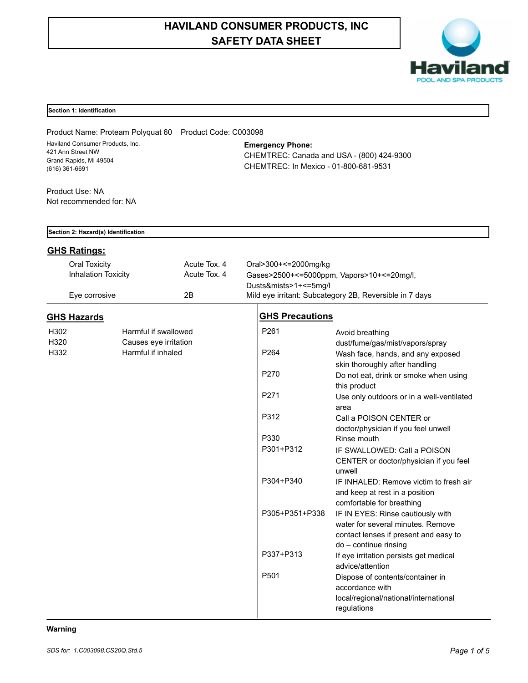# **HAVILAND CONSUMER PRODUCTS, INC SAFETY DATA SHEET**



# **Section 1: Identification**

Product Name: Proteam Polyquat 60 Product Code: C003098 Haviland Consumer Products, Inc. 421 Ann Street NW Grand Rapids, MI 49504 (616) 361-6691

**Emergency Phone:**

CHEMTREC: Canada and USA - (800) 424-9300 CHEMTREC: In Mexico - 01-800-681-9531

Product Use: NA Not recommended for: NA

| Section 2: Hazard(s) Identification                |                                               |                              |                                                                                                                                                       |                                                                                                                 |  |  |
|----------------------------------------------------|-----------------------------------------------|------------------------------|-------------------------------------------------------------------------------------------------------------------------------------------------------|-----------------------------------------------------------------------------------------------------------------|--|--|
| <b>GHS Ratings:</b>                                |                                               |                              |                                                                                                                                                       |                                                                                                                 |  |  |
| <b>Oral Toxicity</b><br><b>Inhalation Toxicity</b> |                                               | Acute Tox. 4<br>Acute Tox. 4 | Oral>300+<=2000mg/kg<br>Gases>2500+<=5000ppm, Vapors>10+<=20mg/l,<br>Dusts&mists>1+<=5mg/l<br>Mild eye irritant: Subcategory 2B, Reversible in 7 days |                                                                                                                 |  |  |
|                                                    | 2B<br>Eye corrosive                           |                              |                                                                                                                                                       |                                                                                                                 |  |  |
| <b>GHS Hazards</b>                                 |                                               |                              | <b>GHS Precautions</b>                                                                                                                                |                                                                                                                 |  |  |
| H302<br>H320                                       | Harmful if swallowed<br>Causes eye irritation |                              | P261                                                                                                                                                  | Avoid breathing<br>dust/fume/gas/mist/vapors/spray                                                              |  |  |
| H332                                               | Harmful if inhaled                            |                              | P <sub>264</sub>                                                                                                                                      | Wash face, hands, and any exposed<br>skin thoroughly after handling                                             |  |  |
|                                                    |                                               |                              | P270                                                                                                                                                  | Do not eat, drink or smoke when using<br>this product                                                           |  |  |
|                                                    |                                               |                              | P <sub>271</sub>                                                                                                                                      | Use only outdoors or in a well-ventilated<br>area                                                               |  |  |
|                                                    |                                               |                              | P312                                                                                                                                                  | Call a POISON CENTER or<br>doctor/physician if you feel unwell                                                  |  |  |
|                                                    |                                               |                              | P330                                                                                                                                                  | Rinse mouth                                                                                                     |  |  |
|                                                    |                                               |                              | P301+P312                                                                                                                                             | IF SWALLOWED: Call a POISON<br>CENTER or doctor/physician if you feel<br>unwell                                 |  |  |
|                                                    |                                               |                              | P304+P340                                                                                                                                             | IF INHALED: Remove victim to fresh air<br>and keep at rest in a position<br>comfortable for breathing           |  |  |
|                                                    |                                               |                              | P305+P351+P338                                                                                                                                        | IF IN EYES: Rinse cautiously with<br>water for several minutes. Remove<br>contact lenses if present and easy to |  |  |
|                                                    |                                               |                              | P337+P313                                                                                                                                             | do - continue rinsing<br>If eye irritation persists get medical<br>advice/attention                             |  |  |
|                                                    |                                               |                              | P <sub>501</sub>                                                                                                                                      | Dispose of contents/container in<br>accordance with<br>local/regional/national/international<br>regulations     |  |  |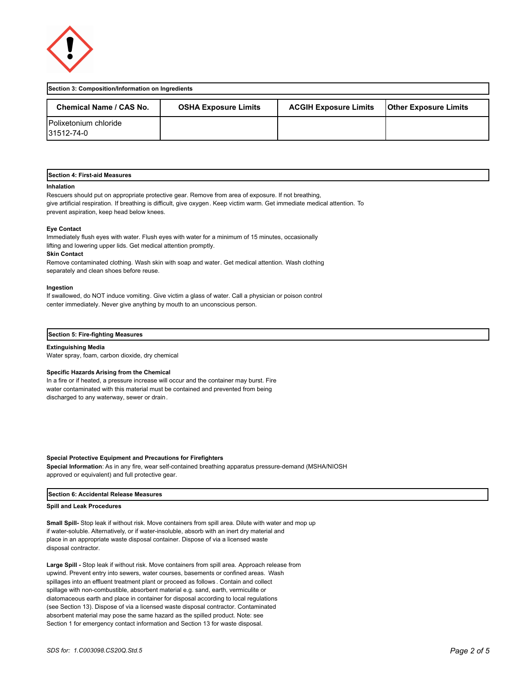

| Section 3: Composition/Information on Ingredients |                             |                              |                              |  |  |  |
|---------------------------------------------------|-----------------------------|------------------------------|------------------------------|--|--|--|
| Chemical Name / CAS No.                           | <b>OSHA Exposure Limits</b> | <b>ACGIH Exposure Limits</b> | <b>Other Exposure Limits</b> |  |  |  |
| <b>IPolixetonium chloride</b><br>31512-74-0       |                             |                              |                              |  |  |  |

#### **Section 4: First-aid Measures**

#### **Inhalation**

Rescuers should put on appropriate protective gear. Remove from area of exposure. If not breathing, give artificial respiration. If breathing is difficult, give oxygen. Keep victim warm. Get immediate medical attention. To prevent aspiration, keep head below knees.

#### **Eye Contact**

Immediately flush eyes with water. Flush eyes with water for a minimum of 15 minutes, occasionally lifting and lowering upper lids. Get medical attention promptly.

#### **Skin Contact**

Remove contaminated clothing. Wash skin with soap and water. Get medical attention. Wash clothing separately and clean shoes before reuse.

#### **Ingestion**

If swallowed, do NOT induce vomiting. Give victim a glass of water. Call a physician or poison control center immediately. Never give anything by mouth to an unconscious person.

#### **Section 5: Fire-fighting Measures**

**Extinguishing Media** Water spray, foam, carbon dioxide, dry chemical

#### **Specific Hazards Arising from the Chemical**

In a fire or if heated, a pressure increase will occur and the container may burst. Fire water contaminated with this material must be contained and prevented from being discharged to any waterway, sewer or drain.

# **Special Protective Equipment and Precautions for Firefighters**

**Special Information**: As in any fire, wear self-contained breathing apparatus pressure-demand (MSHA/NIOSH approved or equivalent) and full protective gear.

### **Section 6: Accidental Release Measures**

#### **Spill and Leak Procedures**

**Small Spill-** Stop leak if without risk. Move containers from spill area. Dilute with water and mop up if water-soluble. Alternatively, or if water-insoluble, absorb with an inert dry material and place in an appropriate waste disposal container. Dispose of via a licensed waste disposal contractor.

**Large Spill -** Stop leak if without risk. Move containers from spill area. Approach release from upwind. Prevent entry into sewers, water courses, basements or confined areas. Wash spillages into an effluent treatment plant or proceed as follows . Contain and collect spillage with non-combustible, absorbent material e.g. sand, earth, vermiculite or diatomaceous earth and place in container for disposal according to local regulations (see Section 13). Dispose of via a licensed waste disposal contractor. Contaminated absorbent material may pose the same hazard as the spilled product. Note: see Section 1 for emergency contact information and Section 13 for waste disposal.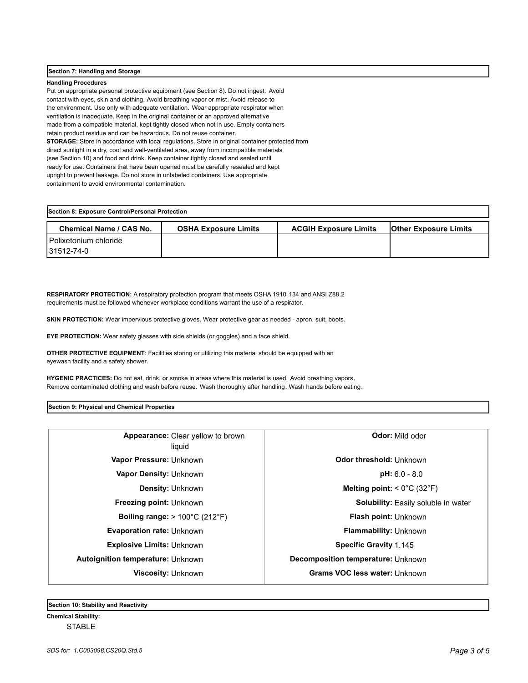# **Section 7: Handling and Storage**

# **Handling Procedures**

Put on appropriate personal protective equipment (see Section 8). Do not ingest. Avoid contact with eyes, skin and clothing. Avoid breathing vapor or mist. Avoid release to the environment. Use only with adequate ventilation. Wear appropriate respirator when ventilation is inadequate. Keep in the original container or an approved alternative made from a compatible material, kept tightly closed when not in use. Empty containers retain product residue and can be hazardous. Do not reuse container. **STORAGE:** Store in accordance with local regulations. Store in original container protected from direct sunlight in a dry, cool and well-ventilated area, away from incompatible materials (see Section 10) and food and drink. Keep container tightly closed and sealed until ready for use. Containers that have been opened must be carefully resealed and kept upright to prevent leakage. Do not store in unlabeled containers. Use appropriate containment to avoid environmental contamination.

| Section 8: Exposure Control/Personal Protection |                             |                              |                              |  |  |  |
|-------------------------------------------------|-----------------------------|------------------------------|------------------------------|--|--|--|
| <b>Chemical Name / CAS No.</b>                  | <b>OSHA Exposure Limits</b> | <b>ACGIH Exposure Limits</b> | <b>Other Exposure Limits</b> |  |  |  |
| Polixetonium chloride<br>31512-74-0             |                             |                              |                              |  |  |  |

**RESPIRATORY PROTECTION:** A respiratory protection program that meets OSHA 1910.134 and ANSI Z88.2 requirements must be followed whenever workplace conditions warrant the use of a respirator.

**SKIN PROTECTION:** Wear impervious protective gloves. Wear protective gear as needed - apron, suit, boots.

**EYE PROTECTION:** Wear safety glasses with side shields (or goggles) and a face shield.

**OTHER PROTECTIVE EQUIPMENT**: Facilities storing or utilizing this material should be equipped with an eyewash facility and a safety shower.

**HYGENIC PRACTICES:** Do not eat, drink, or smoke in areas where this material is used. Avoid breathing vapors. Remove contaminated clothing and wash before reuse. Wash thoroughly after handling. Wash hands before eating.

**Section 9: Physical and Chemical Properties**

| Appearance: Clear yellow to brown<br>liquid                | <b>Odor:</b> Mild odor                           |  |
|------------------------------------------------------------|--------------------------------------------------|--|
| Vapor Pressure: Unknown                                    | Odor threshold: Unknown                          |  |
| <b>Vapor Density: Unknown</b>                              | $pH: 6.0 - 8.0$                                  |  |
| <b>Density: Unknown</b>                                    | Melting point: $< 0^{\circ}$ C (32 $^{\circ}$ F) |  |
| <b>Freezing point: Unknown</b>                             | <b>Solubility:</b> Easily soluble in water       |  |
| <b>Boiling range:</b> $> 100^{\circ}$ C (212 $^{\circ}$ F) | <b>Flash point: Unknown</b>                      |  |
| <b>Evaporation rate: Unknown</b>                           | <b>Flammability: Unknown</b>                     |  |
| <b>Explosive Limits: Unknown</b>                           | <b>Specific Gravity 1.145</b>                    |  |
| <b>Autoignition temperature: Unknown</b>                   | Decomposition temperature: Unknown               |  |
| Viscosity: Unknown                                         | <b>Grams VOC less water: Unknown</b>             |  |
|                                                            |                                                  |  |

**Section 10: Stability and Reactivity** 

**Chemical Stability: STABLE**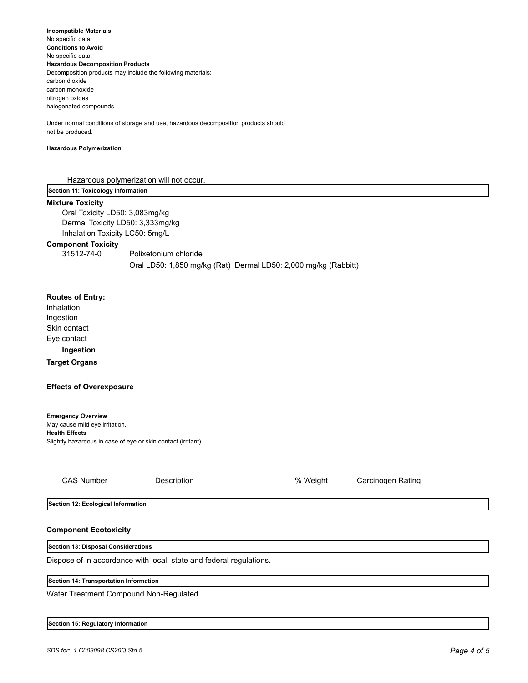**Incompatible Materials**  No specific data. **Conditions to Avoid** No specific data. **Hazardous Decomposition Products** Decomposition products may include the following materials: carbon dioxide carbon monoxide nitrogen oxides halogenated compounds

Under normal conditions of storage and use, hazardous decomposition products should not be produced.

# **Hazardous Polymerization**

Hazardous polymerization will not occur.

**Section 11: Toxicology Information**

# **Mixture Toxicity**

Oral Toxicity LD50: 3,083mg/kg Dermal Toxicity LD50: 3,333mg/kg Inhalation Toxicity LC50: 5mg/L

# **Component Toxicity**

31512-74-0 Polixetonium chloride Oral LD50: 1,850 mg/kg (Rat) Dermal LD50: 2,000 mg/kg (Rabbitt)

# **Routes of Entry:**

Inhalation Ingestion Skin contact Eye contact

# **Ingestion**

**Target Organs**

# **Effects of Overexposure**

**Emergency Overview** May cause mild eye irritation. **Health Effects** Slightly hazardous in case of eye or skin contact (irritant).

Description 6 Meight Meight Carcinogen Rating

**Section 12: Ecological Information**

# **Component Ecotoxicity**

### **Section 13: Disposal Considerations**

Dispose of in accordance with local, state and federal regulations.

### **Section 14: Transportation Information**

Water Treatment Compound Non-Regulated.

|  | Section 15: Regulatory Information |  |
|--|------------------------------------|--|
|--|------------------------------------|--|